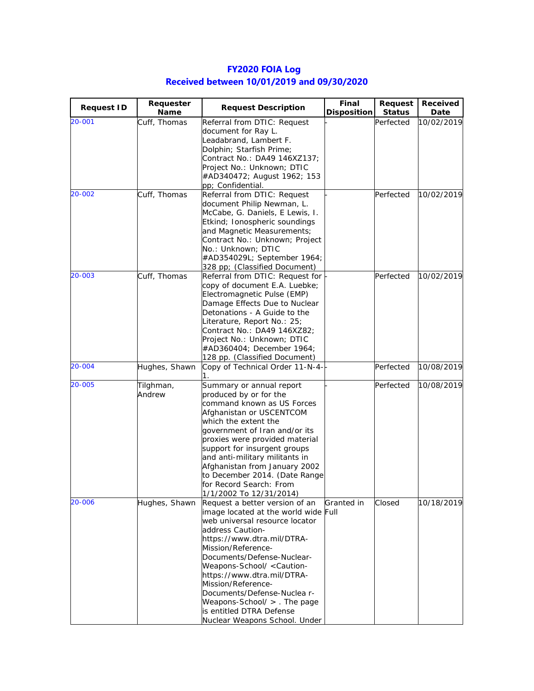| <b>Request ID</b> | Requester<br>Name | <b>Request Description</b>                                               | Final<br><b>Disposition</b> | <b>Request</b><br><b>Status</b> | Received<br>Date |
|-------------------|-------------------|--------------------------------------------------------------------------|-----------------------------|---------------------------------|------------------|
| 20-001            | Cuff, Thomas      | Referral from DTIC: Request                                              |                             | Perfected                       | 10/02/2019       |
|                   |                   | document for Ray L.                                                      |                             |                                 |                  |
|                   |                   | Leadabrand, Lambert F.                                                   |                             |                                 |                  |
|                   |                   | Dolphin; Starfish Prime;                                                 |                             |                                 |                  |
|                   |                   | Contract No.: DA49 146XZ137;                                             |                             |                                 |                  |
|                   |                   | Project No.: Unknown; DTIC                                               |                             |                                 |                  |
|                   |                   | #AD340472; August 1962; 153                                              |                             |                                 |                  |
|                   |                   | pp; Confidential.                                                        |                             |                                 |                  |
| 20-002            | Cuff, Thomas      | Referral from DTIC: Request                                              |                             | Perfected                       | 10/02/2019       |
|                   |                   | document Philip Newman, L.                                               |                             |                                 |                  |
|                   |                   | McCabe, G. Daniels, E Lewis, I.                                          |                             |                                 |                  |
|                   |                   | Etkind; Ionospheric soundings                                            |                             |                                 |                  |
|                   |                   | and Magnetic Measurements;                                               |                             |                                 |                  |
|                   |                   | Contract No.: Unknown; Project                                           |                             |                                 |                  |
|                   |                   | No.: Unknown; DTIC                                                       |                             |                                 |                  |
|                   |                   | #AD354029L; September 1964;                                              |                             |                                 |                  |
|                   |                   | 328 pp; (Classified Document)                                            |                             |                                 |                  |
| 20-003            | Cuff, Thomas      | Referral from DTIC: Request for                                          |                             | Perfected                       | 10/02/2019       |
|                   |                   | copy of document E.A. Luebke;                                            |                             |                                 |                  |
|                   |                   | Electromagnetic Pulse (EMP)                                              |                             |                                 |                  |
|                   |                   | Damage Effects Due to Nuclear                                            |                             |                                 |                  |
|                   |                   | Detonations - A Guide to the                                             |                             |                                 |                  |
|                   |                   | Literature, Report No.: 25;                                              |                             |                                 |                  |
|                   |                   | Contract No.: DA49 146XZ82;                                              |                             |                                 |                  |
|                   |                   | Project No.: Unknown; DTIC                                               |                             |                                 |                  |
|                   |                   | #AD360404; December 1964;                                                |                             |                                 |                  |
|                   |                   | 128 pp. (Classified Document)                                            |                             |                                 |                  |
| 20-004            | Hughes, Shawn     | Copy of Technical Order 11-N-4-                                          |                             | Perfected                       | 10/08/2019       |
| 20-005            | Tilghman,         | Summary or annual report                                                 |                             | Perfected                       | 10/08/2019       |
|                   | Andrew            | produced by or for the                                                   |                             |                                 |                  |
|                   |                   | command known as US Forces                                               |                             |                                 |                  |
|                   |                   | Afghanistan or USCENTCOM                                                 |                             |                                 |                  |
|                   |                   | which the extent the                                                     |                             |                                 |                  |
|                   |                   | government of Iran and/or its                                            |                             |                                 |                  |
|                   |                   | proxies were provided material                                           |                             |                                 |                  |
|                   |                   | support for insurgent groups                                             |                             |                                 |                  |
|                   |                   | and anti-military militants in                                           |                             |                                 |                  |
|                   |                   | Afghanistan from January 2002                                            |                             |                                 |                  |
|                   |                   | to December 2014. (Date Range                                            |                             |                                 |                  |
|                   |                   | for Record Search: From                                                  |                             |                                 |                  |
|                   |                   | 1/1/2002 To 12/31/2014)                                                  |                             |                                 |                  |
| 20-006            | Hughes, Shawn     | Request a better version of an                                           | Granted in                  | Closed                          | 10/18/2019       |
|                   |                   | image located at the world wide Full                                     |                             |                                 |                  |
|                   |                   | web universal resource locator                                           |                             |                                 |                  |
|                   |                   | address Caution-                                                         |                             |                                 |                  |
|                   |                   | https://www.dtra.mil/DTRA-                                               |                             |                                 |                  |
|                   |                   | Mission/Reference-                                                       |                             |                                 |                  |
|                   |                   | Documents/Defense-Nuclear-                                               |                             |                                 |                  |
|                   |                   | Weapons-School/ <caution-< td=""><td></td><td></td><td></td></caution-<> |                             |                                 |                  |
|                   |                   | https://www.dtra.mil/DTRA-                                               |                             |                                 |                  |
|                   |                   | Mission/Reference-                                                       |                             |                                 |                  |
|                   |                   | Documents/Defense-Nuclea r-                                              |                             |                                 |                  |
|                   |                   | Weapons-School/ > . The page                                             |                             |                                 |                  |
|                   |                   | is entitled DTRA Defense                                                 |                             |                                 |                  |
|                   |                   | Nuclear Weapons School. Under                                            |                             |                                 |                  |

## **FY2020 FOIA Log Received between 10/01/2019 and 09/30/2020**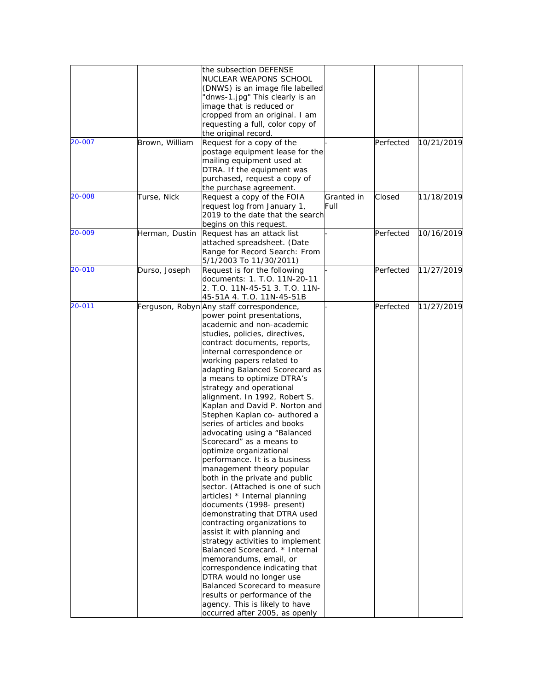|        |                | the subsection DEFENSE                    |            |           |            |
|--------|----------------|-------------------------------------------|------------|-----------|------------|
|        |                | NUCLEAR WEAPONS SCHOOL                    |            |           |            |
|        |                | (DNWS) is an image file labelled          |            |           |            |
|        |                | 'dnws-1.jpg" This clearly is an           |            |           |            |
|        |                |                                           |            |           |            |
|        |                | image that is reduced or                  |            |           |            |
|        |                | cropped from an original. I am            |            |           |            |
|        |                | requesting a full, color copy of          |            |           |            |
|        |                | the original record.                      |            |           |            |
| 20-007 | Brown, William | Request for a copy of the                 |            | Perfected | 10/21/2019 |
|        |                | postage equipment lease for the           |            |           |            |
|        |                | mailing equipment used at                 |            |           |            |
|        |                | DTRA. If the equipment was                |            |           |            |
|        |                | purchased, request a copy of              |            |           |            |
|        |                | the purchase agreement.                   |            |           |            |
| 20-008 |                |                                           |            |           |            |
|        | Turse, Nick    | Request a copy of the FOIA                | Granted in | Closed    | 11/18/2019 |
|        |                | request log from January 1,               | Full       |           |            |
|        |                | 2019 to the date that the search          |            |           |            |
|        |                | begins on this request.                   |            |           |            |
| 20-009 | Herman, Dustin | Request has an attack list                |            | Perfected | 10/16/2019 |
|        |                | attached spreadsheet. (Date               |            |           |            |
|        |                | Range for Record Search: From             |            |           |            |
|        |                | 5/1/2003 To 11/30/2011)                   |            |           |            |
| 20-010 | Durso, Joseph  | Request is for the following              |            | Perfected | 11/27/2019 |
|        |                | documents: 1. T.O. 11N-20-11              |            |           |            |
|        |                |                                           |            |           |            |
|        |                | 2. T.O. 11N-45-51 3. T.O. 11N-            |            |           |            |
|        |                | 45-51A 4. T.O. 11N-45-51B                 |            |           |            |
| 20-011 |                | Ferguson, Robyn Any staff correspondence, |            | Perfected | 11/27/2019 |
|        |                | power point presentations,                |            |           |            |
|        |                | academic and non-academic                 |            |           |            |
|        |                | studies, policies, directives,            |            |           |            |
|        |                | contract documents, reports,              |            |           |            |
|        |                | internal correspondence or                |            |           |            |
|        |                | working papers related to                 |            |           |            |
|        |                | adapting Balanced Scorecard as            |            |           |            |
|        |                | a means to optimize DTRA's                |            |           |            |
|        |                | strategy and operational                  |            |           |            |
|        |                |                                           |            |           |            |
|        |                | alignment. In 1992, Robert S.             |            |           |            |
|        |                | Kaplan and David P. Norton and            |            |           |            |
|        |                | Stephen Kaplan co- authored a             |            |           |            |
|        |                | series of articles and books              |            |           |            |
|        |                | advocating using a "Balanced              |            |           |            |
|        |                | Scorecard" as a means to                  |            |           |            |
|        |                | optimize organizational                   |            |           |            |
|        |                | performance. It is a business             |            |           |            |
|        |                | management theory popular                 |            |           |            |
|        |                | both in the private and public            |            |           |            |
|        |                | sector. (Attached is one of such          |            |           |            |
|        |                |                                           |            |           |            |
|        |                | articles) * Internal planning             |            |           |            |
|        |                | documents (1998- present)                 |            |           |            |
|        |                | demonstrating that DTRA used              |            |           |            |
|        |                | contracting organizations to              |            |           |            |
|        |                | assist it with planning and               |            |           |            |
|        |                | strategy activities to implement          |            |           |            |
|        |                | Balanced Scorecard. * Internal            |            |           |            |
|        |                | memorandums, email, or                    |            |           |            |
|        |                | correspondence indicating that            |            |           |            |
|        |                |                                           |            |           |            |
|        |                | DTRA would no longer use                  |            |           |            |
|        |                | Balanced Scorecard to measure             |            |           |            |
|        |                | results or performance of the             |            |           |            |
|        |                | agency. This is likely to have            |            |           |            |
|        |                | occurred after 2005, as openly            |            |           |            |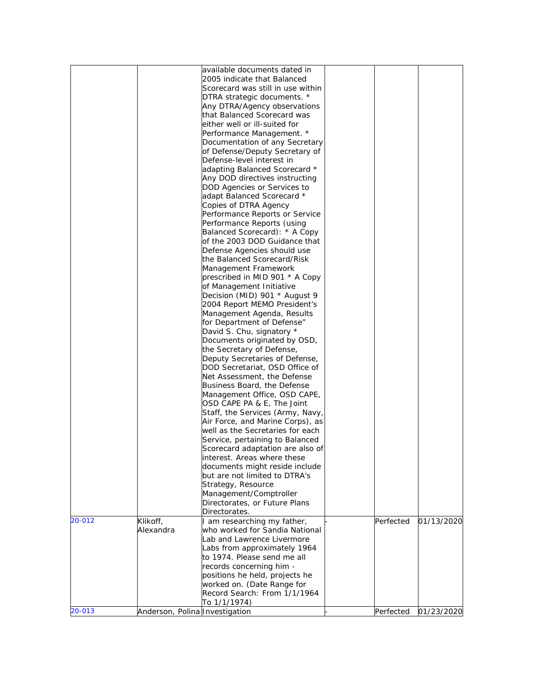|        |                                | available documents dated in<br>2005 indicate that Balanced     |           |            |
|--------|--------------------------------|-----------------------------------------------------------------|-----------|------------|
|        |                                | Scorecard was still in use within                               |           |            |
|        |                                | DTRA strategic documents. *                                     |           |            |
|        |                                | Any DTRA/Agency observations                                    |           |            |
|        |                                | that Balanced Scorecard was                                     |           |            |
|        |                                | either well or ill-suited for                                   |           |            |
|        |                                | Performance Management. *                                       |           |            |
|        |                                | Documentation of any Secretary                                  |           |            |
|        |                                | of Defense/Deputy Secretary of                                  |           |            |
|        |                                | Defense-level interest in                                       |           |            |
|        |                                | adapting Balanced Scorecard *                                   |           |            |
|        |                                | Any DOD directives instructing                                  |           |            |
|        |                                | DOD Agencies or Services to                                     |           |            |
|        |                                | adapt Balanced Scorecard *                                      |           |            |
|        |                                | Copies of DTRA Agency                                           |           |            |
|        |                                | Performance Reports or Service                                  |           |            |
|        |                                | Performance Reports (using                                      |           |            |
|        |                                | Balanced Scorecard): * A Copy                                   |           |            |
|        |                                | of the 2003 DOD Guidance that                                   |           |            |
|        |                                | Defense Agencies should use                                     |           |            |
|        |                                | the Balanced Scorecard/Risk                                     |           |            |
|        |                                | Management Framework                                            |           |            |
|        |                                | prescribed in MID 901 * A Copy                                  |           |            |
|        |                                | of Management Initiative                                        |           |            |
|        |                                | Decision (MID) 901 * August 9                                   |           |            |
|        |                                | 2004 Report MEMO President's                                    |           |            |
|        |                                | Management Agenda, Results                                      |           |            |
|        |                                | for Department of Defense"                                      |           |            |
|        |                                | David S. Chu, signatory *                                       |           |            |
|        |                                | Documents originated by OSD,                                    |           |            |
|        |                                | the Secretary of Defense,                                       |           |            |
|        |                                | Deputy Secretaries of Defense,                                  |           |            |
|        |                                | DOD Secretariat, OSD Office of                                  |           |            |
|        |                                | Net Assessment, the Defense                                     |           |            |
|        |                                | Business Board, the Defense                                     |           |            |
|        |                                | Management Office, OSD CAPE,                                    |           |            |
|        |                                | OSD CAPE PA & E, The Joint                                      |           |            |
|        |                                | Staff, the Services (Army, Navy,                                |           |            |
|        |                                | Air Force, and Marine Corps), as                                |           |            |
|        |                                | well as the Secretaries for each                                |           |            |
|        |                                | Service, pertaining to Balanced                                 |           |            |
|        |                                | Scorecard adaptation are also of                                |           |            |
|        |                                | interest. Areas where these                                     |           |            |
|        |                                | documents might reside include<br>but are not limited to DTRA's |           |            |
|        |                                |                                                                 |           |            |
|        |                                | Strategy, Resource                                              |           |            |
|        |                                | Management/Comptroller<br>Directorates, or Future Plans         |           |            |
|        |                                | Directorates.                                                   |           |            |
| 20-012 | Klikoff,                       | I am researching my father,                                     | Perfected | 01/13/2020 |
|        | Alexandra                      | who worked for Sandia National                                  |           |            |
|        |                                | Lab and Lawrence Livermore                                      |           |            |
|        |                                | Labs from approximately 1964                                    |           |            |
|        |                                | to 1974. Please send me all                                     |           |            |
|        |                                | records concerning him -                                        |           |            |
|        |                                | positions he held, projects he                                  |           |            |
|        |                                | worked on. (Date Range for                                      |           |            |
|        |                                | Record Search: From 1/1/1964                                    |           |            |
|        |                                | To 1/1/1974)                                                    |           |            |
| 20-013 | Anderson, Polina Investigation |                                                                 | Perfected | 01/23/2020 |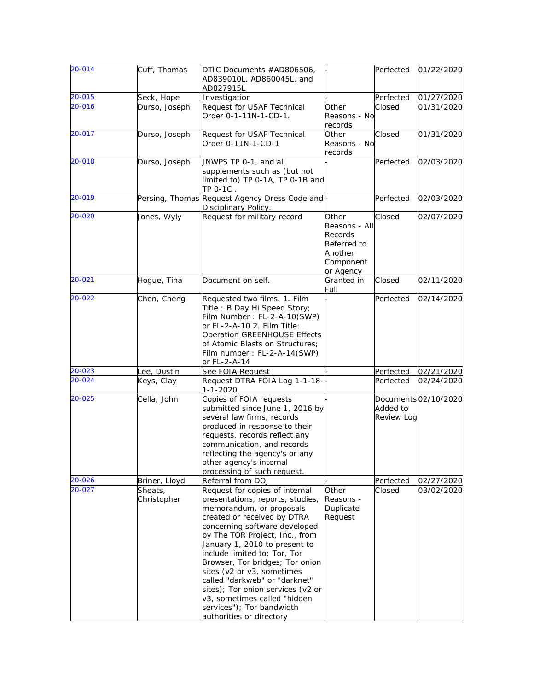| $20 - 014$ | Cuff, Thomas           | DTIC Documents #AD806506,<br>AD839010L, AD860045L, and<br>AD827915L                                                                                                                                                                                                                                                                                                                                                                                                                               |                                                                                       | Perfected              | 01/22/2020           |
|------------|------------------------|---------------------------------------------------------------------------------------------------------------------------------------------------------------------------------------------------------------------------------------------------------------------------------------------------------------------------------------------------------------------------------------------------------------------------------------------------------------------------------------------------|---------------------------------------------------------------------------------------|------------------------|----------------------|
| $20 - 015$ | Seck, Hope             | Investigation                                                                                                                                                                                                                                                                                                                                                                                                                                                                                     |                                                                                       | Perfected              | 01/27/2020           |
| 20-016     | Durso, Joseph          | Request for USAF Technical<br>Order 0-1-11N-1-CD-1.                                                                                                                                                                                                                                                                                                                                                                                                                                               | Other<br>Reasons - No<br>records                                                      | Closed                 | 01/31/2020           |
| 20-017     | Durso, Joseph          | Request for USAF Technical<br>Order 0-11N-1-CD-1                                                                                                                                                                                                                                                                                                                                                                                                                                                  | Other<br>Reasons - No<br>records                                                      | Closed                 | 01/31/2020           |
| 20-018     | Durso, Joseph          | JNWPS TP 0-1, and all<br>supplements such as (but not<br>limited to) TP 0-1A, TP 0-1B and<br>TP 0-1C.                                                                                                                                                                                                                                                                                                                                                                                             |                                                                                       | Perfected              | 02/03/2020           |
| 20-019     |                        | Persing, Thomas Request Agency Dress Code and-<br>Disciplinary Policy.                                                                                                                                                                                                                                                                                                                                                                                                                            |                                                                                       | Perfected              | 02/03/2020           |
| 20-020     | Jones, Wyly            | Request for military record                                                                                                                                                                                                                                                                                                                                                                                                                                                                       | Other<br>Reasons - All<br>Records<br>Referred to<br>Another<br>Component<br>or Agency | Closed                 | 02/07/2020           |
| 20-021     | Hogue, Tina            | Document on self.                                                                                                                                                                                                                                                                                                                                                                                                                                                                                 | Granted in<br>Full                                                                    | Closed                 | 02/11/2020           |
| $20 - 022$ | Chen, Cheng            | Requested two films. 1. Film<br>Title: B Day Hi Speed Story;<br>Film Number: FL-2-A-10(SWP)<br>or FL-2-A-10 2. Film Title:<br>Operation GREENHOUSE Effects<br>of Atomic Blasts on Structures;<br>Film number: FL-2-A-14(SWP)<br>or FL-2-A-14                                                                                                                                                                                                                                                      |                                                                                       | Perfected              | 02/14/2020           |
| 20-023     | Lee, Dustin            | See FOIA Request                                                                                                                                                                                                                                                                                                                                                                                                                                                                                  |                                                                                       | Perfected              | 02/21/2020           |
| 20-024     | Keys, Clay             | Request DTRA FOIA Log 1-1-18-<br>1-1-2020.                                                                                                                                                                                                                                                                                                                                                                                                                                                        |                                                                                       | Perfected              | 02/24/2020           |
| 20-025     | Cella, John            | Copies of FOIA requests<br>submitted since June 1, 2016 by<br>several law firms, records<br>produced in response to their<br>requests, records reflect any<br>communication, and records<br>reflecting the agency's or any<br>other agency's internal<br>processing of such request.                                                                                                                                                                                                              |                                                                                       | Added to<br>Review Log | Documents 02/10/2020 |
| 20-026     | Briner, Lloyd          | Referral from DOJ                                                                                                                                                                                                                                                                                                                                                                                                                                                                                 |                                                                                       | Perfected              | 02/27/2020           |
| 20-027     | Sheats,<br>Christopher | Request for copies of internal<br>presentations, reports, studies,<br>memorandum, or proposals<br>created or received by DTRA<br>concerning software developed<br>by The TOR Project, Inc., from<br>January 1, 2010 to present to<br>include limited to: Tor, Tor<br>Browser, Tor bridges; Tor onion<br>sites (v2 or v3, sometimes<br>called "darkweb" or "darknet"<br>sites); Tor onion services (v2 or<br>v3, sometimes called "hidden<br>services"); Tor bandwidth<br>authorities or directory | Other<br>Reasons -<br>Duplicate<br>Request                                            | Closed                 | 03/02/2020           |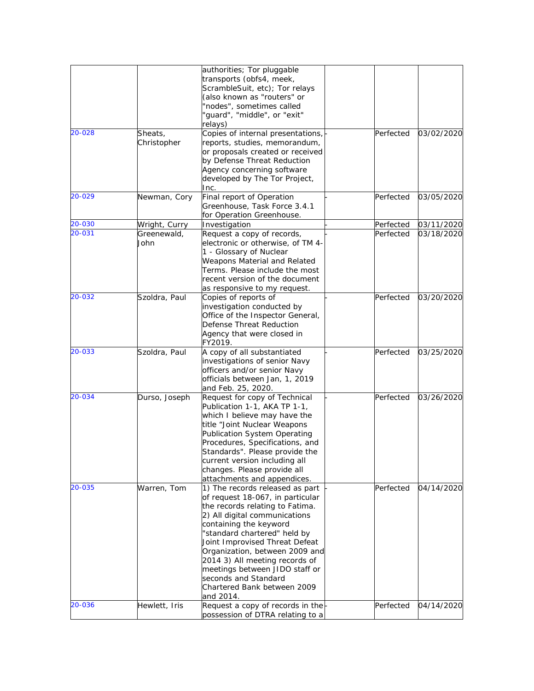|        |               | authorities; Tor pluggable            |           |            |
|--------|---------------|---------------------------------------|-----------|------------|
|        |               | transports (obfs4, meek,              |           |            |
|        |               | ScrambleSuit, etc); Tor relays        |           |            |
|        |               | (also known as "routers" or           |           |            |
|        |               | 'nodes", sometimes called             |           |            |
|        |               | 'guard", "middle", or "exit"          |           |            |
|        |               | relays)                               |           |            |
|        |               |                                       |           |            |
| 20-028 | Sheats,       | Copies of internal presentations,     | Perfected | 03/02/2020 |
|        | Christopher   | reports, studies, memorandum,         |           |            |
|        |               | or proposals created or received      |           |            |
|        |               | by Defense Threat Reduction           |           |            |
|        |               | Agency concerning software            |           |            |
|        |               | developed by The Tor Project,         |           |            |
|        |               | Inc.                                  |           |            |
| 20-029 | Newman, Cory  | Final report of Operation             | Perfected | 03/05/2020 |
|        |               | Greenhouse, Task Force 3.4.1          |           |            |
|        |               | for Operation Greenhouse.             |           |            |
| 20-030 | Wright, Curry | Investigation                         | Perfected | 03/11/2020 |
|        |               |                                       |           |            |
| 20-031 | Greenewald,   | Request a copy of records,            | Perfected | 03/18/2020 |
|        | John          | electronic or otherwise, of TM 4-     |           |            |
|        |               | 1 - Glossary of Nuclear               |           |            |
|        |               | Weapons Material and Related          |           |            |
|        |               | Terms. Please include the most        |           |            |
|        |               | recent version of the document        |           |            |
|        |               | as responsive to my request.          |           |            |
| 20-032 | Szoldra, Paul | Copies of reports of                  | Perfected | 03/20/2020 |
|        |               | investigation conducted by            |           |            |
|        |               | Office of the Inspector General,      |           |            |
|        |               | Defense Threat Reduction              |           |            |
|        |               |                                       |           |            |
|        |               | Agency that were closed in<br>FY2019. |           |            |
| 20-033 | Szoldra, Paul |                                       | Perfected | 03/25/2020 |
|        |               | A copy of all substantiated           |           |            |
|        |               | investigations of senior Navy         |           |            |
|        |               | officers and/or senior Navy           |           |            |
|        |               | officials between Jan, 1, 2019        |           |            |
|        |               | and Feb. 25, 2020.                    |           |            |
| 20-034 | Durso, Joseph | Request for copy of Technical         | Perfected | 03/26/2020 |
|        |               | Publication 1-1, AKA TP 1-1,          |           |            |
|        |               | which I believe may have the          |           |            |
|        |               | title "Joint Nuclear Weapons          |           |            |
|        |               | Publication System Operating          |           |            |
|        |               | Procedures, Specifications, and       |           |            |
|        |               | Standards". Please provide the        |           |            |
|        |               | current version including all         |           |            |
|        |               | changes. Please provide all           |           |            |
|        |               | attachments and appendices.           |           |            |
| 20-035 | Warren, Tom   | 1) The records released as part       | Perfected | 04/14/2020 |
|        |               |                                       |           |            |
|        |               | of request 18-067, in particular      |           |            |
|        |               | the records relating to Fatima.       |           |            |
|        |               | 2) All digital communications         |           |            |
|        |               | containing the keyword                |           |            |
|        |               | 'standard chartered" held by          |           |            |
|        |               | Joint Improvised Threat Defeat        |           |            |
|        |               | Organization, between 2009 and        |           |            |
|        |               | 2014 3) All meeting records of        |           |            |
|        |               | meetings between JIDO staff or        |           |            |
|        |               |                                       |           |            |
|        |               | seconds and Standard                  |           |            |
|        |               | Chartered Bank between 2009           |           |            |
|        |               | and 2014.                             |           |            |
| 20-036 | Hewlett, Iris | Request a copy of records in the      | Perfected | 04/14/2020 |
|        |               | possession of DTRA relating to a      |           |            |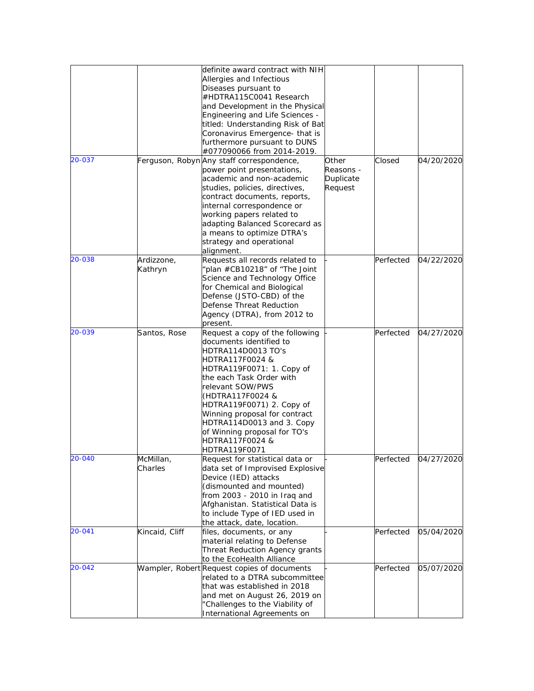|        |                       | definite award contract with NIH<br>Allergies and Infectious<br>Diseases pursuant to<br>#HDTRA115C0041 Research<br>and Development in the Physical                                                                                                                                                                                                                  |                                            |           |            |
|--------|-----------------------|---------------------------------------------------------------------------------------------------------------------------------------------------------------------------------------------------------------------------------------------------------------------------------------------------------------------------------------------------------------------|--------------------------------------------|-----------|------------|
|        |                       | Engineering and Life Sciences -<br>titled: Understanding Risk of Bat<br>Coronavirus Emergence- that is<br>furthermore pursuant to DUNS<br>#077090066 from 2014-2019.                                                                                                                                                                                                |                                            |           |            |
| 20-037 |                       | Ferguson, Robyn Any staff correspondence,<br>power point presentations,<br>academic and non-academic<br>studies, policies, directives,<br>contract documents, reports,<br>internal correspondence or<br>working papers related to<br>adapting Balanced Scorecard as<br>a means to optimize DTRA's<br>strategy and operational<br>alignment.                         | Other<br>Reasons -<br>Duplicate<br>Request | Closed    | 04/20/2020 |
| 20-038 | Ardizzone,<br>Kathryn | Requests all records related to<br>plan #CB10218" of "The Joint<br>Science and Technology Office<br>for Chemical and Biological<br>Defense (JSTO-CBD) of the<br>Defense Threat Reduction<br>Agency (DTRA), from 2012 to<br>present.                                                                                                                                 |                                            | Perfected | 04/22/2020 |
| 20-039 | Santos, Rose          | Request a copy of the following<br>documents identified to<br>HDTRA114D0013 TO's<br>HDTRA117F0024 &<br>HDTRA119F0071: 1. Copy of<br>the each Task Order with<br>relevant SOW/PWS<br>(HDTRA117F0024 &<br>HDTRA119F0071) 2. Copy of<br>Winning proposal for contract<br>HDTRA114D0013 and 3. Copy<br>of Winning proposal for TO's<br>HDTRA117F0024 &<br>HDTRA119F0071 |                                            | Perfected | 04/27/2020 |
| 20-040 | McMillan,<br>Charles  | Request for statistical data or<br>data set of Improvised Explosive<br>Device (IED) attacks<br>(dismounted and mounted)<br>from 2003 - 2010 in Iraq and<br>Afghanistan. Statistical Data is<br>to include Type of IED used in<br>the attack, date, location.                                                                                                        |                                            | Perfected | 04/27/2020 |
| 20-041 | Kincaid, Cliff        | files, documents, or any<br>material relating to Defense<br>Threat Reduction Agency grants<br>to the EcoHealth Alliance                                                                                                                                                                                                                                             |                                            | Perfected | 05/04/2020 |
| 20-042 |                       | Wampler, Robert Request copies of documents<br>related to a DTRA subcommittee<br>that was established in 2018<br>and met on August 26, 2019 on<br>'Challenges to the Viability of<br>International Agreements on                                                                                                                                                    |                                            | Perfected | 05/07/2020 |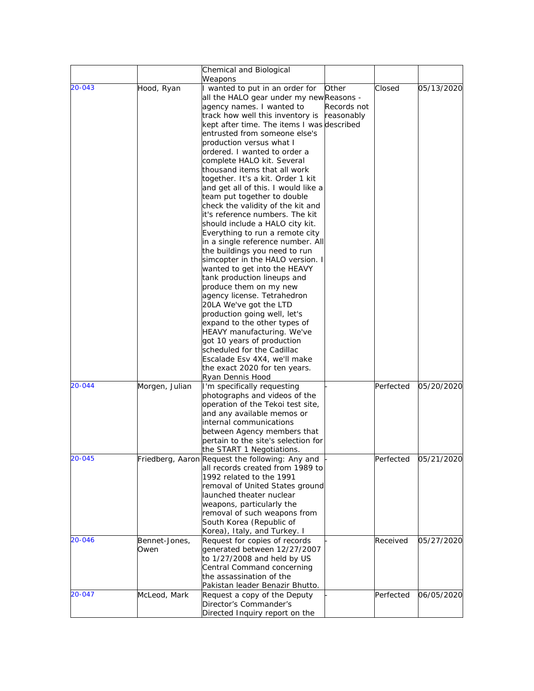|        |                | Chemical and Biological<br>Weapons                                 |           |            |
|--------|----------------|--------------------------------------------------------------------|-----------|------------|
| 20-043 | Hood, Ryan     | wanted to put in an order for<br>Other                             | Closed    | 05/13/2020 |
|        |                | all the HALO gear under my newReasons -                            |           |            |
|        |                | agency names. I wanted to<br>Records not                           |           |            |
|        |                | track how well this inventory is<br>reasonably                     |           |            |
|        |                | kept after time. The items I was described                         |           |            |
|        |                | entrusted from someone else's                                      |           |            |
|        |                | production versus what I                                           |           |            |
|        |                | ordered. I wanted to order a                                       |           |            |
|        |                | complete HALO kit. Several                                         |           |            |
|        |                | thousand items that all work                                       |           |            |
|        |                | together. It's a kit. Order 1 kit                                  |           |            |
|        |                |                                                                    |           |            |
|        |                | and get all of this. I would like a<br>team put together to double |           |            |
|        |                |                                                                    |           |            |
|        |                | check the validity of the kit and                                  |           |            |
|        |                | it's reference numbers. The kit                                    |           |            |
|        |                | should include a HALO city kit.                                    |           |            |
|        |                | Everything to run a remote city                                    |           |            |
|        |                | in a single reference number. All                                  |           |            |
|        |                | the buildings you need to run                                      |           |            |
|        |                | simcopter in the HALO version. I                                   |           |            |
|        |                | wanted to get into the HEAVY                                       |           |            |
|        |                | tank production lineups and                                        |           |            |
|        |                | produce them on my new                                             |           |            |
|        |                | agency license. Tetrahedron                                        |           |            |
|        |                | 20LA We've got the LTD                                             |           |            |
|        |                | production going well, let's                                       |           |            |
|        |                | expand to the other types of                                       |           |            |
|        |                | HEAVY manufacturing. We've                                         |           |            |
|        |                | got 10 years of production                                         |           |            |
|        |                | scheduled for the Cadillac                                         |           |            |
|        |                | Escalade Esv 4X4, we'll make                                       |           |            |
|        |                | the exact 2020 for ten years.                                      |           |            |
|        |                | Ryan Dennis Hood                                                   |           |            |
| 20-044 | Morgen, Julian | I'm specifically requesting                                        | Perfected | 05/20/2020 |
|        |                | photographs and videos of the                                      |           |            |
|        |                | operation of the Tekoi test site,                                  |           |            |
|        |                | and any available memos or                                         |           |            |
|        |                | internal communications                                            |           |            |
|        |                | between Agency members that                                        |           |            |
|        |                | pertain to the site's selection for                                |           |            |
|        |                | the START 1 Negotiations.                                          |           |            |
| 20-045 |                | Friedberg, Aaron Request the following: Any and                    |           |            |
|        |                | all records created from 1989 to                                   | Perfected | 05/21/2020 |
|        |                |                                                                    |           |            |
|        |                | 1992 related to the 1991                                           |           |            |
|        |                | removal of United States ground                                    |           |            |
|        |                | launched theater nuclear                                           |           |            |
|        |                | weapons, particularly the                                          |           |            |
|        |                | removal of such weapons from                                       |           |            |
|        |                | South Korea (Republic of                                           |           |            |
|        |                | Korea), Italy, and Turkey. I                                       |           |            |
| 20-046 | Bennet-Jones,  | Request for copies of records                                      | Received  | 05/27/2020 |
|        | Owen           | generated between 12/27/2007                                       |           |            |
|        |                | to 1/27/2008 and held by US                                        |           |            |
|        |                | Central Command concerning                                         |           |            |
|        |                | the assassination of the                                           |           |            |
|        |                | Pakistan leader Benazir Bhutto.                                    |           |            |
| 20-047 | McLeod, Mark   | Request a copy of the Deputy                                       | Perfected | 06/05/2020 |
|        |                | Director's Commander's                                             |           |            |
|        |                | Directed Inquiry report on the                                     |           |            |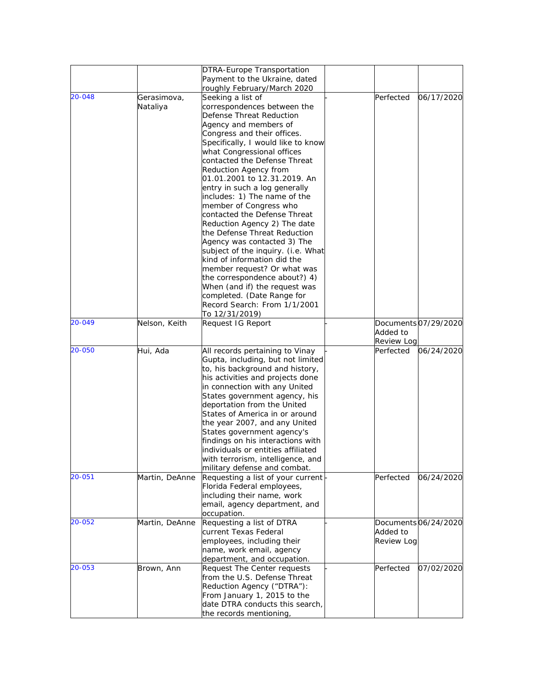|        |                | DTRA-Europe Transportation<br>Payment to the Ukraine, dated |                   |                      |
|--------|----------------|-------------------------------------------------------------|-------------------|----------------------|
|        |                | roughly February/March 2020                                 |                   |                      |
| 20-048 | Gerasimova,    | Seeking a list of                                           | Perfected         | 06/17/2020           |
|        | Nataliya       | correspondences between the                                 |                   |                      |
|        |                | Defense Threat Reduction                                    |                   |                      |
|        |                | Agency and members of                                       |                   |                      |
|        |                | Congress and their offices.                                 |                   |                      |
|        |                |                                                             |                   |                      |
|        |                | Specifically, I would like to know                          |                   |                      |
|        |                | what Congressional offices                                  |                   |                      |
|        |                | contacted the Defense Threat                                |                   |                      |
|        |                | Reduction Agency from<br>01.01.2001 to 12.31.2019. An       |                   |                      |
|        |                | entry in such a log generally                               |                   |                      |
|        |                | includes: 1) The name of the                                |                   |                      |
|        |                | member of Congress who                                      |                   |                      |
|        |                | contacted the Defense Threat                                |                   |                      |
|        |                | Reduction Agency 2) The date                                |                   |                      |
|        |                | the Defense Threat Reduction                                |                   |                      |
|        |                | Agency was contacted 3) The                                 |                   |                      |
|        |                | subject of the inquiry. (i.e. What                          |                   |                      |
|        |                | kind of information did the                                 |                   |                      |
|        |                | member request? Or what was                                 |                   |                      |
|        |                | the correspondence about?) 4)                               |                   |                      |
|        |                | When (and if) the request was                               |                   |                      |
|        |                | completed. (Date Range for                                  |                   |                      |
|        |                | Record Search: From 1/1/2001                                |                   |                      |
|        |                | To 12/31/2019)                                              |                   |                      |
| 20-049 | Nelson, Keith  | Request IG Report                                           |                   | Documents 07/29/2020 |
|        |                |                                                             | Added to          |                      |
|        |                |                                                             | Review Log        |                      |
| 20-050 | Hui, Ada       | All records pertaining to Vinay                             | Perfected         | 06/24/2020           |
|        |                | Gupta, including, but not limited                           |                   |                      |
|        |                | to, his background and history,                             |                   |                      |
|        |                |                                                             |                   |                      |
|        |                | his activities and projects done                            |                   |                      |
|        |                | in connection with any United                               |                   |                      |
|        |                | States government agency, his                               |                   |                      |
|        |                | deportation from the United                                 |                   |                      |
|        |                | States of America in or around                              |                   |                      |
|        |                | the year 2007, and any United                               |                   |                      |
|        |                | States government agency's                                  |                   |                      |
|        |                | findings on his interactions with                           |                   |                      |
|        |                | individuals or entities affiliated                          |                   |                      |
|        |                | with terrorism, intelligence, and                           |                   |                      |
|        |                | military defense and combat.                                |                   |                      |
| 20-051 | Martin, DeAnne | Requesting a list of your current                           | Perfected         | 06/24/2020           |
|        |                | Florida Federal employees,                                  |                   |                      |
|        |                | including their name, work                                  |                   |                      |
|        |                | email, agency department, and                               |                   |                      |
|        |                | occupation.                                                 |                   |                      |
| 20-052 | Martin, DeAnne | Requesting a list of DTRA                                   |                   | Documents 06/24/2020 |
|        |                | current Texas Federal                                       | Added to          |                      |
|        |                | employees, including their                                  | <b>Review Log</b> |                      |
|        |                | name, work email, agency                                    |                   |                      |
|        |                | department, and occupation.                                 |                   |                      |
| 20-053 | Brown, Ann     | Request The Center requests                                 | Perfected         | 07/02/2020           |
|        |                | from the U.S. Defense Threat                                |                   |                      |
|        |                | Reduction Agency ("DTRA"):                                  |                   |                      |
|        |                | From January 1, 2015 to the                                 |                   |                      |
|        |                | date DTRA conducts this search,                             |                   |                      |
|        |                | the records mentioning,                                     |                   |                      |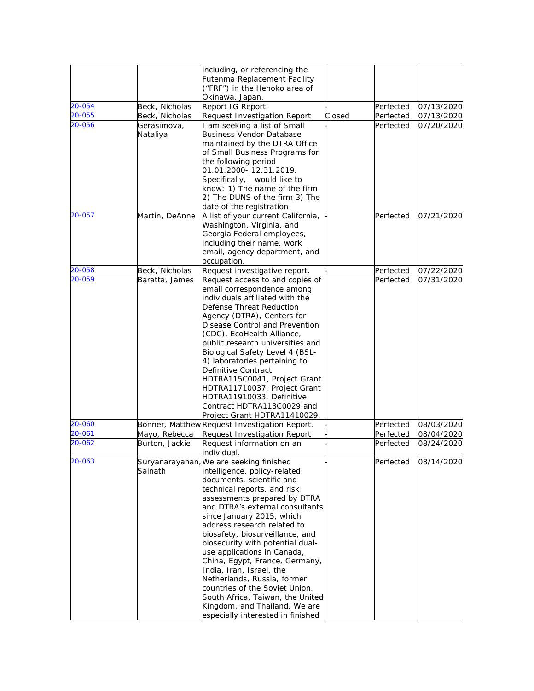|                  |                                 | including, or referencing the<br>Futenma Replacement Facility<br>("FRF") in the Henoko area of<br>Okinawa, Japan.                                                                                                                                                                                                                                                                                                                                                                                                                                                                                                 |        |                        |                          |
|------------------|---------------------------------|-------------------------------------------------------------------------------------------------------------------------------------------------------------------------------------------------------------------------------------------------------------------------------------------------------------------------------------------------------------------------------------------------------------------------------------------------------------------------------------------------------------------------------------------------------------------------------------------------------------------|--------|------------------------|--------------------------|
| 20-054           | Beck, Nicholas                  | Report IG Report.                                                                                                                                                                                                                                                                                                                                                                                                                                                                                                                                                                                                 |        | Perfected              | 07/13/2020               |
| 20-055           | Beck, Nicholas                  | Request Investigation Report                                                                                                                                                                                                                                                                                                                                                                                                                                                                                                                                                                                      | Closed | Perfected              | 07/13/2020               |
| 20-056           | Gerasimova,<br>Nataliya         | I am seeking a list of Small<br><b>Business Vendor Database</b><br>maintained by the DTRA Office<br>of Small Business Programs for<br>the following period<br>01.01.2000-12.31.2019.<br>Specifically, I would like to<br>know: 1) The name of the firm<br>2) The DUNS of the firm 3) The                                                                                                                                                                                                                                                                                                                          |        | Perfected              | 07/20/2020               |
|                  |                                 | date of the registration                                                                                                                                                                                                                                                                                                                                                                                                                                                                                                                                                                                          |        |                        |                          |
| 20-057           | Martin, DeAnne                  | A list of your current California,<br>Washington, Virginia, and<br>Georgia Federal employees,<br>including their name, work<br>email, agency department, and<br>occupation.                                                                                                                                                                                                                                                                                                                                                                                                                                       |        | Perfected              | 07/21/2020               |
| 20-058           | Beck, Nicholas                  | Request investigative report.                                                                                                                                                                                                                                                                                                                                                                                                                                                                                                                                                                                     |        | Perfected              | 07/22/2020               |
| 20-059           | Baratta, James                  | Request access to and copies of<br>email correspondence among<br>individuals affiliated with the<br>Defense Threat Reduction<br>Agency (DTRA), Centers for<br>Disease Control and Prevention<br>(CDC), EcoHealth Alliance,<br>public research universities and<br>Biological Safety Level 4 (BSL-<br>4) laboratories pertaining to<br>Definitive Contract<br>HDTRA115C0041, Project Grant<br>HDTRA11710037, Project Grant<br>HDTRA11910033, Definitive<br>Contract HDTRA113C0029 and<br>Project Grant HDTRA11410029.                                                                                              |        | Perfected              | 07/31/2020               |
| 20-060<br>20-061 |                                 | Bonner, Matthew Request Investigation Report.                                                                                                                                                                                                                                                                                                                                                                                                                                                                                                                                                                     |        | Perfected              | 08/03/2020               |
| 20-062           | Mayo, Rebecca<br>Burton, Jackie | Request Investigation Report<br>Request information on an<br>individual.                                                                                                                                                                                                                                                                                                                                                                                                                                                                                                                                          |        | Perfected<br>Perfected | 08/04/2020<br>08/24/2020 |
| 20-063           | Sainath                         | Suryanarayanan, We are seeking finished<br>intelligence, policy-related<br>documents, scientific and<br>technical reports, and risk<br>assessments prepared by DTRA<br>and DTRA's external consultants<br>since January 2015, which<br>address research related to<br>biosafety, biosurveillance, and<br>biosecurity with potential dual-<br>use applications in Canada,<br>China, Egypt, France, Germany,<br>India, Iran, Israel, the<br>Netherlands, Russia, former<br>countries of the Soviet Union,<br>South Africa, Taiwan, the United<br>Kingdom, and Thailand. We are<br>especially interested in finished |        | Perfected              | 08/14/2020               |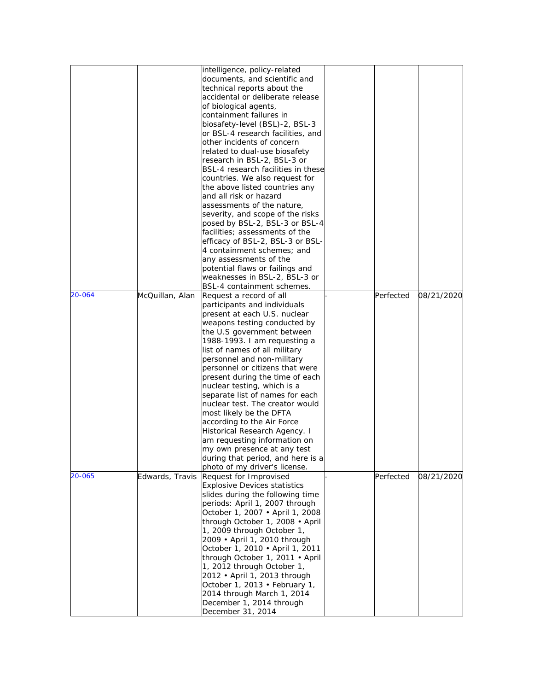|        |                 | intelligence, policy-related        |           |            |
|--------|-----------------|-------------------------------------|-----------|------------|
|        |                 | documents, and scientific and       |           |            |
|        |                 | technical reports about the         |           |            |
|        |                 | accidental or deliberate release    |           |            |
|        |                 |                                     |           |            |
|        |                 | of biological agents,               |           |            |
|        |                 | containment failures in             |           |            |
|        |                 | biosafety-level (BSL)-2, BSL-3      |           |            |
|        |                 | or BSL-4 research facilities, and   |           |            |
|        |                 | other incidents of concern          |           |            |
|        |                 | related to dual-use biosafety       |           |            |
|        |                 | research in BSL-2, BSL-3 or         |           |            |
|        |                 | BSL-4 research facilities in these  |           |            |
|        |                 | countries. We also request for      |           |            |
|        |                 | the above listed countries any      |           |            |
|        |                 | and all risk or hazard              |           |            |
|        |                 | assessments of the nature,          |           |            |
|        |                 |                                     |           |            |
|        |                 | severity, and scope of the risks    |           |            |
|        |                 | posed by BSL-2, BSL-3 or BSL-4      |           |            |
|        |                 | facilities; assessments of the      |           |            |
|        |                 | efficacy of BSL-2, BSL-3 or BSL-    |           |            |
|        |                 | 4 containment schemes; and          |           |            |
|        |                 | any assessments of the              |           |            |
|        |                 | potential flaws or failings and     |           |            |
|        |                 | weaknesses in BSL-2, BSL-3 or       |           |            |
|        |                 | BSL-4 containment schemes.          |           |            |
| 20-064 | McQuillan, Alan | Request a record of all             | Perfected | 08/21/2020 |
|        |                 | participants and individuals        |           |            |
|        |                 | present at each U.S. nuclear        |           |            |
|        |                 | weapons testing conducted by        |           |            |
|        |                 |                                     |           |            |
|        |                 | the U.S government between          |           |            |
|        |                 | 1988-1993. I am requesting a        |           |            |
|        |                 | list of names of all military       |           |            |
|        |                 | personnel and non-military          |           |            |
|        |                 | personnel or citizens that were     |           |            |
|        |                 | present during the time of each     |           |            |
|        |                 | nuclear testing, which is a         |           |            |
|        |                 | separate list of names for each     |           |            |
|        |                 | nuclear test. The creator would     |           |            |
|        |                 | most likely be the DFTA             |           |            |
|        |                 | according to the Air Force          |           |            |
|        |                 | Historical Research Agency. I       |           |            |
|        |                 |                                     |           |            |
|        |                 | am requesting information on        |           |            |
|        |                 | my own presence at any test         |           |            |
|        |                 | during that period, and here is a   |           |            |
|        |                 | photo of my driver's license.       |           |            |
| 20-065 | Edwards, Travis | Request for Improvised              | Perfected | 08/21/2020 |
|        |                 | <b>Explosive Devices statistics</b> |           |            |
|        |                 | slides during the following time    |           |            |
|        |                 | periods: April 1, 2007 through      |           |            |
|        |                 | October 1, 2007 · April 1, 2008     |           |            |
|        |                 | through October 1, 2008 · April     |           |            |
|        |                 | 1, 2009 through October 1,          |           |            |
|        |                 | 2009 · April 1, 2010 through        |           |            |
|        |                 | October 1, 2010 · April 1, 2011     |           |            |
|        |                 |                                     |           |            |
|        |                 | through October 1, 2011 • April     |           |            |
|        |                 | 1, 2012 through October 1,          |           |            |
|        |                 | 2012 · April 1, 2013 through        |           |            |
|        |                 | October 1, 2013 · February 1,       |           |            |
|        |                 | 2014 through March 1, 2014          |           |            |
|        |                 | December 1, 2014 through            |           |            |
|        |                 | December 31, 2014                   |           |            |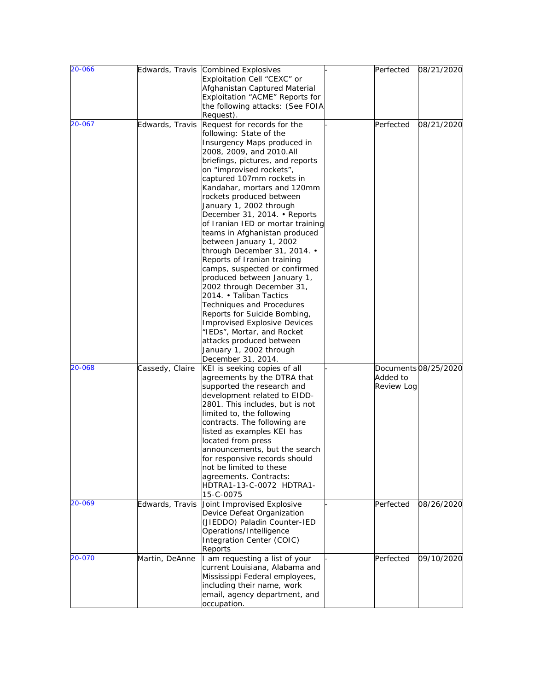| 20-066           |                                    | Edwards, Travis Combined Explosives<br>Exploitation Cell "CEXC" or<br>Afghanistan Captured Material<br>Exploitation "ACME" Reports for<br>the following attacks: (See FOIA                                                                                                                                                                                                                                                                                                                                                                                                                                                                                                                                                                                                                                                         | Perfected                                  | 08/21/2020                        |
|------------------|------------------------------------|------------------------------------------------------------------------------------------------------------------------------------------------------------------------------------------------------------------------------------------------------------------------------------------------------------------------------------------------------------------------------------------------------------------------------------------------------------------------------------------------------------------------------------------------------------------------------------------------------------------------------------------------------------------------------------------------------------------------------------------------------------------------------------------------------------------------------------|--------------------------------------------|-----------------------------------|
| 20-067           | Edwards, Travis                    | Request).<br>Request for records for the<br>following: State of the<br>Insurgency Maps produced in<br>2008, 2009, and 2010.All<br>briefings, pictures, and reports<br>on "improvised rockets",<br>captured 107mm rockets in<br>Kandahar, mortars and 120mm<br>rockets produced between<br>January 1, 2002 through<br>December 31, 2014. • Reports<br>of Iranian IED or mortar training<br>teams in Afghanistan produced<br>between January 1, 2002<br>through December 31, 2014. .<br>Reports of Iranian training<br>camps, suspected or confirmed<br>produced between January 1,<br>2002 through December 31,<br>2014. • Taliban Tactics<br>Techniques and Procedures<br>Reports for Suicide Bombing,<br><b>Improvised Explosive Devices</b><br>"IEDs", Mortar, and Rocket<br>attacks produced between<br>January 1, 2002 through | Perfected                                  | 08/21/2020                        |
| 20-068<br>20-069 | Cassedy, Claire<br>Edwards, Travis | December 31, 2014.<br>KEI is seeking copies of all<br>agreements by the DTRA that<br>supported the research and<br>development related to EIDD-<br>2801. This includes, but is not<br>limited to, the following<br>contracts. The following are<br>listed as examples KEI has<br>located from press<br>announcements, but the search<br>for responsive records should<br>not be limited to these<br>agreements. Contracts:<br>HDTRA1-13-C-0072 HDTRA1-<br>15-C-0075<br>Joint Improvised Explosive                                                                                                                                                                                                                                                                                                                                  | Added to<br><b>Review Log</b><br>Perfected | Documents08/25/2020<br>08/26/2020 |
|                  |                                    | Device Defeat Organization<br>(JIEDDO) Paladin Counter-IED<br>Operations/Intelligence<br>Integration Center (COIC)<br>Reports                                                                                                                                                                                                                                                                                                                                                                                                                                                                                                                                                                                                                                                                                                      |                                            |                                   |
| 20-070           | Martin, DeAnne                     | am requesting a list of your<br>current Louisiana, Alabama and<br>Mississippi Federal employees,<br>including their name, work<br>email, agency department, and<br>occupation.                                                                                                                                                                                                                                                                                                                                                                                                                                                                                                                                                                                                                                                     | Perfected                                  | 09/10/2020                        |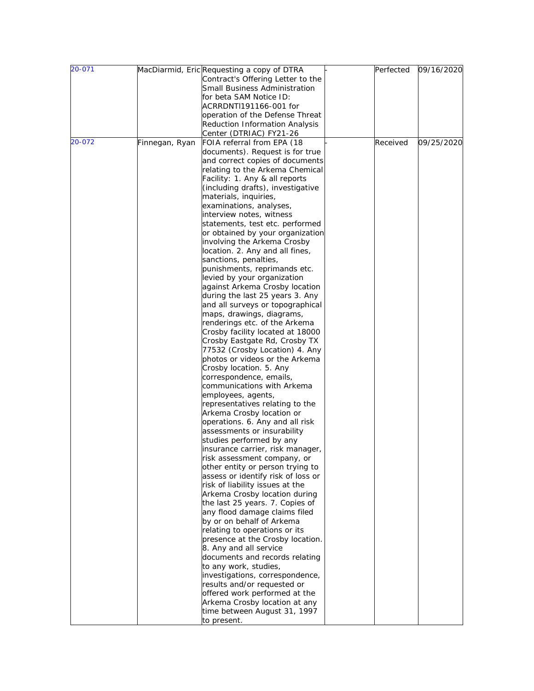| Contract's Offering Letter to the<br>Small Business Administration<br>for beta SAM Notice ID:<br>ACRRDNTI191166-001 for<br>operation of the Defense Threat<br><b>Reduction Information Analysis</b><br>Center (DTRIAC) FY21-26<br>20-072<br>FOIA referral from EPA (18<br>Received<br>09/25/2020<br>Finnegan, Ryan<br>documents). Request is for true<br>and correct copies of documents<br>relating to the Arkema Chemical<br>Facility: 1. Any & all reports<br>(including drafts), investigative<br>materials, inquiries,<br>examinations, analyses,<br>interview notes, witness<br>statements, test etc. performed<br>or obtained by your organization<br>involving the Arkema Crosby<br>location. 2. Any and all fines,<br>sanctions, penalties,<br>punishments, reprimands etc.<br>levied by your organization<br>against Arkema Crosby location<br>during the last 25 years 3. Any<br>and all surveys or topographical<br>maps, drawings, diagrams,<br>renderings etc. of the Arkema<br>Crosby facility located at 18000<br>Crosby Eastgate Rd, Crosby TX<br>77532 (Crosby Location) 4. Any<br>photos or videos or the Arkema<br>Crosby location. 5. Any<br>correspondence, emails,<br>communications with Arkema<br>employees, agents,<br>representatives relating to the<br>Arkema Crosby location or<br>operations. 6. Any and all risk<br>assessments or insurability<br>studies performed by any<br>insurance carrier, risk manager,<br>risk assessment company, or<br>other entity or person trying to<br>assess or identify risk of loss or<br>risk of liability issues at the<br>Arkema Crosby location during<br>the last 25 years. 7. Copies of<br>any flood damage claims filed<br>by or on behalf of Arkema<br>relating to operations or its<br>presence at the Crosby location.<br>8. Any and all service<br>documents and records relating<br>to any work, studies,<br>investigations, correspondence,<br>results and/or requested or<br>offered work performed at the<br>Arkema Crosby location at any<br>time between August 31, 1997<br>to present. | 20-071 | MacDiarmid, Eric Requesting a copy of DTRA | Perfected | 09/16/2020 |
|----------------------------------------------------------------------------------------------------------------------------------------------------------------------------------------------------------------------------------------------------------------------------------------------------------------------------------------------------------------------------------------------------------------------------------------------------------------------------------------------------------------------------------------------------------------------------------------------------------------------------------------------------------------------------------------------------------------------------------------------------------------------------------------------------------------------------------------------------------------------------------------------------------------------------------------------------------------------------------------------------------------------------------------------------------------------------------------------------------------------------------------------------------------------------------------------------------------------------------------------------------------------------------------------------------------------------------------------------------------------------------------------------------------------------------------------------------------------------------------------------------------------------------------------------------------------------------------------------------------------------------------------------------------------------------------------------------------------------------------------------------------------------------------------------------------------------------------------------------------------------------------------------------------------------------------------------------------------------------------------------------------------------------------------------------------------------|--------|--------------------------------------------|-----------|------------|
|                                                                                                                                                                                                                                                                                                                                                                                                                                                                                                                                                                                                                                                                                                                                                                                                                                                                                                                                                                                                                                                                                                                                                                                                                                                                                                                                                                                                                                                                                                                                                                                                                                                                                                                                                                                                                                                                                                                                                                                                                                                                            |        |                                            |           |            |
|                                                                                                                                                                                                                                                                                                                                                                                                                                                                                                                                                                                                                                                                                                                                                                                                                                                                                                                                                                                                                                                                                                                                                                                                                                                                                                                                                                                                                                                                                                                                                                                                                                                                                                                                                                                                                                                                                                                                                                                                                                                                            |        |                                            |           |            |
|                                                                                                                                                                                                                                                                                                                                                                                                                                                                                                                                                                                                                                                                                                                                                                                                                                                                                                                                                                                                                                                                                                                                                                                                                                                                                                                                                                                                                                                                                                                                                                                                                                                                                                                                                                                                                                                                                                                                                                                                                                                                            |        |                                            |           |            |
|                                                                                                                                                                                                                                                                                                                                                                                                                                                                                                                                                                                                                                                                                                                                                                                                                                                                                                                                                                                                                                                                                                                                                                                                                                                                                                                                                                                                                                                                                                                                                                                                                                                                                                                                                                                                                                                                                                                                                                                                                                                                            |        |                                            |           |            |
|                                                                                                                                                                                                                                                                                                                                                                                                                                                                                                                                                                                                                                                                                                                                                                                                                                                                                                                                                                                                                                                                                                                                                                                                                                                                                                                                                                                                                                                                                                                                                                                                                                                                                                                                                                                                                                                                                                                                                                                                                                                                            |        |                                            |           |            |
|                                                                                                                                                                                                                                                                                                                                                                                                                                                                                                                                                                                                                                                                                                                                                                                                                                                                                                                                                                                                                                                                                                                                                                                                                                                                                                                                                                                                                                                                                                                                                                                                                                                                                                                                                                                                                                                                                                                                                                                                                                                                            |        |                                            |           |            |
|                                                                                                                                                                                                                                                                                                                                                                                                                                                                                                                                                                                                                                                                                                                                                                                                                                                                                                                                                                                                                                                                                                                                                                                                                                                                                                                                                                                                                                                                                                                                                                                                                                                                                                                                                                                                                                                                                                                                                                                                                                                                            |        |                                            |           |            |
|                                                                                                                                                                                                                                                                                                                                                                                                                                                                                                                                                                                                                                                                                                                                                                                                                                                                                                                                                                                                                                                                                                                                                                                                                                                                                                                                                                                                                                                                                                                                                                                                                                                                                                                                                                                                                                                                                                                                                                                                                                                                            |        |                                            |           |            |
|                                                                                                                                                                                                                                                                                                                                                                                                                                                                                                                                                                                                                                                                                                                                                                                                                                                                                                                                                                                                                                                                                                                                                                                                                                                                                                                                                                                                                                                                                                                                                                                                                                                                                                                                                                                                                                                                                                                                                                                                                                                                            |        |                                            |           |            |
|                                                                                                                                                                                                                                                                                                                                                                                                                                                                                                                                                                                                                                                                                                                                                                                                                                                                                                                                                                                                                                                                                                                                                                                                                                                                                                                                                                                                                                                                                                                                                                                                                                                                                                                                                                                                                                                                                                                                                                                                                                                                            |        |                                            |           |            |
|                                                                                                                                                                                                                                                                                                                                                                                                                                                                                                                                                                                                                                                                                                                                                                                                                                                                                                                                                                                                                                                                                                                                                                                                                                                                                                                                                                                                                                                                                                                                                                                                                                                                                                                                                                                                                                                                                                                                                                                                                                                                            |        |                                            |           |            |
|                                                                                                                                                                                                                                                                                                                                                                                                                                                                                                                                                                                                                                                                                                                                                                                                                                                                                                                                                                                                                                                                                                                                                                                                                                                                                                                                                                                                                                                                                                                                                                                                                                                                                                                                                                                                                                                                                                                                                                                                                                                                            |        |                                            |           |            |
|                                                                                                                                                                                                                                                                                                                                                                                                                                                                                                                                                                                                                                                                                                                                                                                                                                                                                                                                                                                                                                                                                                                                                                                                                                                                                                                                                                                                                                                                                                                                                                                                                                                                                                                                                                                                                                                                                                                                                                                                                                                                            |        |                                            |           |            |
|                                                                                                                                                                                                                                                                                                                                                                                                                                                                                                                                                                                                                                                                                                                                                                                                                                                                                                                                                                                                                                                                                                                                                                                                                                                                                                                                                                                                                                                                                                                                                                                                                                                                                                                                                                                                                                                                                                                                                                                                                                                                            |        |                                            |           |            |
|                                                                                                                                                                                                                                                                                                                                                                                                                                                                                                                                                                                                                                                                                                                                                                                                                                                                                                                                                                                                                                                                                                                                                                                                                                                                                                                                                                                                                                                                                                                                                                                                                                                                                                                                                                                                                                                                                                                                                                                                                                                                            |        |                                            |           |            |
|                                                                                                                                                                                                                                                                                                                                                                                                                                                                                                                                                                                                                                                                                                                                                                                                                                                                                                                                                                                                                                                                                                                                                                                                                                                                                                                                                                                                                                                                                                                                                                                                                                                                                                                                                                                                                                                                                                                                                                                                                                                                            |        |                                            |           |            |
|                                                                                                                                                                                                                                                                                                                                                                                                                                                                                                                                                                                                                                                                                                                                                                                                                                                                                                                                                                                                                                                                                                                                                                                                                                                                                                                                                                                                                                                                                                                                                                                                                                                                                                                                                                                                                                                                                                                                                                                                                                                                            |        |                                            |           |            |
|                                                                                                                                                                                                                                                                                                                                                                                                                                                                                                                                                                                                                                                                                                                                                                                                                                                                                                                                                                                                                                                                                                                                                                                                                                                                                                                                                                                                                                                                                                                                                                                                                                                                                                                                                                                                                                                                                                                                                                                                                                                                            |        |                                            |           |            |
|                                                                                                                                                                                                                                                                                                                                                                                                                                                                                                                                                                                                                                                                                                                                                                                                                                                                                                                                                                                                                                                                                                                                                                                                                                                                                                                                                                                                                                                                                                                                                                                                                                                                                                                                                                                                                                                                                                                                                                                                                                                                            |        |                                            |           |            |
|                                                                                                                                                                                                                                                                                                                                                                                                                                                                                                                                                                                                                                                                                                                                                                                                                                                                                                                                                                                                                                                                                                                                                                                                                                                                                                                                                                                                                                                                                                                                                                                                                                                                                                                                                                                                                                                                                                                                                                                                                                                                            |        |                                            |           |            |
|                                                                                                                                                                                                                                                                                                                                                                                                                                                                                                                                                                                                                                                                                                                                                                                                                                                                                                                                                                                                                                                                                                                                                                                                                                                                                                                                                                                                                                                                                                                                                                                                                                                                                                                                                                                                                                                                                                                                                                                                                                                                            |        |                                            |           |            |
|                                                                                                                                                                                                                                                                                                                                                                                                                                                                                                                                                                                                                                                                                                                                                                                                                                                                                                                                                                                                                                                                                                                                                                                                                                                                                                                                                                                                                                                                                                                                                                                                                                                                                                                                                                                                                                                                                                                                                                                                                                                                            |        |                                            |           |            |
|                                                                                                                                                                                                                                                                                                                                                                                                                                                                                                                                                                                                                                                                                                                                                                                                                                                                                                                                                                                                                                                                                                                                                                                                                                                                                                                                                                                                                                                                                                                                                                                                                                                                                                                                                                                                                                                                                                                                                                                                                                                                            |        |                                            |           |            |
|                                                                                                                                                                                                                                                                                                                                                                                                                                                                                                                                                                                                                                                                                                                                                                                                                                                                                                                                                                                                                                                                                                                                                                                                                                                                                                                                                                                                                                                                                                                                                                                                                                                                                                                                                                                                                                                                                                                                                                                                                                                                            |        |                                            |           |            |
|                                                                                                                                                                                                                                                                                                                                                                                                                                                                                                                                                                                                                                                                                                                                                                                                                                                                                                                                                                                                                                                                                                                                                                                                                                                                                                                                                                                                                                                                                                                                                                                                                                                                                                                                                                                                                                                                                                                                                                                                                                                                            |        |                                            |           |            |
|                                                                                                                                                                                                                                                                                                                                                                                                                                                                                                                                                                                                                                                                                                                                                                                                                                                                                                                                                                                                                                                                                                                                                                                                                                                                                                                                                                                                                                                                                                                                                                                                                                                                                                                                                                                                                                                                                                                                                                                                                                                                            |        |                                            |           |            |
|                                                                                                                                                                                                                                                                                                                                                                                                                                                                                                                                                                                                                                                                                                                                                                                                                                                                                                                                                                                                                                                                                                                                                                                                                                                                                                                                                                                                                                                                                                                                                                                                                                                                                                                                                                                                                                                                                                                                                                                                                                                                            |        |                                            |           |            |
|                                                                                                                                                                                                                                                                                                                                                                                                                                                                                                                                                                                                                                                                                                                                                                                                                                                                                                                                                                                                                                                                                                                                                                                                                                                                                                                                                                                                                                                                                                                                                                                                                                                                                                                                                                                                                                                                                                                                                                                                                                                                            |        |                                            |           |            |
|                                                                                                                                                                                                                                                                                                                                                                                                                                                                                                                                                                                                                                                                                                                                                                                                                                                                                                                                                                                                                                                                                                                                                                                                                                                                                                                                                                                                                                                                                                                                                                                                                                                                                                                                                                                                                                                                                                                                                                                                                                                                            |        |                                            |           |            |
|                                                                                                                                                                                                                                                                                                                                                                                                                                                                                                                                                                                                                                                                                                                                                                                                                                                                                                                                                                                                                                                                                                                                                                                                                                                                                                                                                                                                                                                                                                                                                                                                                                                                                                                                                                                                                                                                                                                                                                                                                                                                            |        |                                            |           |            |
|                                                                                                                                                                                                                                                                                                                                                                                                                                                                                                                                                                                                                                                                                                                                                                                                                                                                                                                                                                                                                                                                                                                                                                                                                                                                                                                                                                                                                                                                                                                                                                                                                                                                                                                                                                                                                                                                                                                                                                                                                                                                            |        |                                            |           |            |
|                                                                                                                                                                                                                                                                                                                                                                                                                                                                                                                                                                                                                                                                                                                                                                                                                                                                                                                                                                                                                                                                                                                                                                                                                                                                                                                                                                                                                                                                                                                                                                                                                                                                                                                                                                                                                                                                                                                                                                                                                                                                            |        |                                            |           |            |
|                                                                                                                                                                                                                                                                                                                                                                                                                                                                                                                                                                                                                                                                                                                                                                                                                                                                                                                                                                                                                                                                                                                                                                                                                                                                                                                                                                                                                                                                                                                                                                                                                                                                                                                                                                                                                                                                                                                                                                                                                                                                            |        |                                            |           |            |
|                                                                                                                                                                                                                                                                                                                                                                                                                                                                                                                                                                                                                                                                                                                                                                                                                                                                                                                                                                                                                                                                                                                                                                                                                                                                                                                                                                                                                                                                                                                                                                                                                                                                                                                                                                                                                                                                                                                                                                                                                                                                            |        |                                            |           |            |
|                                                                                                                                                                                                                                                                                                                                                                                                                                                                                                                                                                                                                                                                                                                                                                                                                                                                                                                                                                                                                                                                                                                                                                                                                                                                                                                                                                                                                                                                                                                                                                                                                                                                                                                                                                                                                                                                                                                                                                                                                                                                            |        |                                            |           |            |
|                                                                                                                                                                                                                                                                                                                                                                                                                                                                                                                                                                                                                                                                                                                                                                                                                                                                                                                                                                                                                                                                                                                                                                                                                                                                                                                                                                                                                                                                                                                                                                                                                                                                                                                                                                                                                                                                                                                                                                                                                                                                            |        |                                            |           |            |
|                                                                                                                                                                                                                                                                                                                                                                                                                                                                                                                                                                                                                                                                                                                                                                                                                                                                                                                                                                                                                                                                                                                                                                                                                                                                                                                                                                                                                                                                                                                                                                                                                                                                                                                                                                                                                                                                                                                                                                                                                                                                            |        |                                            |           |            |
|                                                                                                                                                                                                                                                                                                                                                                                                                                                                                                                                                                                                                                                                                                                                                                                                                                                                                                                                                                                                                                                                                                                                                                                                                                                                                                                                                                                                                                                                                                                                                                                                                                                                                                                                                                                                                                                                                                                                                                                                                                                                            |        |                                            |           |            |
|                                                                                                                                                                                                                                                                                                                                                                                                                                                                                                                                                                                                                                                                                                                                                                                                                                                                                                                                                                                                                                                                                                                                                                                                                                                                                                                                                                                                                                                                                                                                                                                                                                                                                                                                                                                                                                                                                                                                                                                                                                                                            |        |                                            |           |            |
|                                                                                                                                                                                                                                                                                                                                                                                                                                                                                                                                                                                                                                                                                                                                                                                                                                                                                                                                                                                                                                                                                                                                                                                                                                                                                                                                                                                                                                                                                                                                                                                                                                                                                                                                                                                                                                                                                                                                                                                                                                                                            |        |                                            |           |            |
|                                                                                                                                                                                                                                                                                                                                                                                                                                                                                                                                                                                                                                                                                                                                                                                                                                                                                                                                                                                                                                                                                                                                                                                                                                                                                                                                                                                                                                                                                                                                                                                                                                                                                                                                                                                                                                                                                                                                                                                                                                                                            |        |                                            |           |            |
|                                                                                                                                                                                                                                                                                                                                                                                                                                                                                                                                                                                                                                                                                                                                                                                                                                                                                                                                                                                                                                                                                                                                                                                                                                                                                                                                                                                                                                                                                                                                                                                                                                                                                                                                                                                                                                                                                                                                                                                                                                                                            |        |                                            |           |            |
|                                                                                                                                                                                                                                                                                                                                                                                                                                                                                                                                                                                                                                                                                                                                                                                                                                                                                                                                                                                                                                                                                                                                                                                                                                                                                                                                                                                                                                                                                                                                                                                                                                                                                                                                                                                                                                                                                                                                                                                                                                                                            |        |                                            |           |            |
|                                                                                                                                                                                                                                                                                                                                                                                                                                                                                                                                                                                                                                                                                                                                                                                                                                                                                                                                                                                                                                                                                                                                                                                                                                                                                                                                                                                                                                                                                                                                                                                                                                                                                                                                                                                                                                                                                                                                                                                                                                                                            |        |                                            |           |            |
|                                                                                                                                                                                                                                                                                                                                                                                                                                                                                                                                                                                                                                                                                                                                                                                                                                                                                                                                                                                                                                                                                                                                                                                                                                                                                                                                                                                                                                                                                                                                                                                                                                                                                                                                                                                                                                                                                                                                                                                                                                                                            |        |                                            |           |            |
|                                                                                                                                                                                                                                                                                                                                                                                                                                                                                                                                                                                                                                                                                                                                                                                                                                                                                                                                                                                                                                                                                                                                                                                                                                                                                                                                                                                                                                                                                                                                                                                                                                                                                                                                                                                                                                                                                                                                                                                                                                                                            |        |                                            |           |            |
|                                                                                                                                                                                                                                                                                                                                                                                                                                                                                                                                                                                                                                                                                                                                                                                                                                                                                                                                                                                                                                                                                                                                                                                                                                                                                                                                                                                                                                                                                                                                                                                                                                                                                                                                                                                                                                                                                                                                                                                                                                                                            |        |                                            |           |            |
|                                                                                                                                                                                                                                                                                                                                                                                                                                                                                                                                                                                                                                                                                                                                                                                                                                                                                                                                                                                                                                                                                                                                                                                                                                                                                                                                                                                                                                                                                                                                                                                                                                                                                                                                                                                                                                                                                                                                                                                                                                                                            |        |                                            |           |            |
|                                                                                                                                                                                                                                                                                                                                                                                                                                                                                                                                                                                                                                                                                                                                                                                                                                                                                                                                                                                                                                                                                                                                                                                                                                                                                                                                                                                                                                                                                                                                                                                                                                                                                                                                                                                                                                                                                                                                                                                                                                                                            |        |                                            |           |            |
|                                                                                                                                                                                                                                                                                                                                                                                                                                                                                                                                                                                                                                                                                                                                                                                                                                                                                                                                                                                                                                                                                                                                                                                                                                                                                                                                                                                                                                                                                                                                                                                                                                                                                                                                                                                                                                                                                                                                                                                                                                                                            |        |                                            |           |            |
|                                                                                                                                                                                                                                                                                                                                                                                                                                                                                                                                                                                                                                                                                                                                                                                                                                                                                                                                                                                                                                                                                                                                                                                                                                                                                                                                                                                                                                                                                                                                                                                                                                                                                                                                                                                                                                                                                                                                                                                                                                                                            |        |                                            |           |            |
|                                                                                                                                                                                                                                                                                                                                                                                                                                                                                                                                                                                                                                                                                                                                                                                                                                                                                                                                                                                                                                                                                                                                                                                                                                                                                                                                                                                                                                                                                                                                                                                                                                                                                                                                                                                                                                                                                                                                                                                                                                                                            |        |                                            |           |            |
|                                                                                                                                                                                                                                                                                                                                                                                                                                                                                                                                                                                                                                                                                                                                                                                                                                                                                                                                                                                                                                                                                                                                                                                                                                                                                                                                                                                                                                                                                                                                                                                                                                                                                                                                                                                                                                                                                                                                                                                                                                                                            |        |                                            |           |            |
|                                                                                                                                                                                                                                                                                                                                                                                                                                                                                                                                                                                                                                                                                                                                                                                                                                                                                                                                                                                                                                                                                                                                                                                                                                                                                                                                                                                                                                                                                                                                                                                                                                                                                                                                                                                                                                                                                                                                                                                                                                                                            |        |                                            |           |            |
|                                                                                                                                                                                                                                                                                                                                                                                                                                                                                                                                                                                                                                                                                                                                                                                                                                                                                                                                                                                                                                                                                                                                                                                                                                                                                                                                                                                                                                                                                                                                                                                                                                                                                                                                                                                                                                                                                                                                                                                                                                                                            |        |                                            |           |            |
|                                                                                                                                                                                                                                                                                                                                                                                                                                                                                                                                                                                                                                                                                                                                                                                                                                                                                                                                                                                                                                                                                                                                                                                                                                                                                                                                                                                                                                                                                                                                                                                                                                                                                                                                                                                                                                                                                                                                                                                                                                                                            |        |                                            |           |            |
|                                                                                                                                                                                                                                                                                                                                                                                                                                                                                                                                                                                                                                                                                                                                                                                                                                                                                                                                                                                                                                                                                                                                                                                                                                                                                                                                                                                                                                                                                                                                                                                                                                                                                                                                                                                                                                                                                                                                                                                                                                                                            |        |                                            |           |            |
|                                                                                                                                                                                                                                                                                                                                                                                                                                                                                                                                                                                                                                                                                                                                                                                                                                                                                                                                                                                                                                                                                                                                                                                                                                                                                                                                                                                                                                                                                                                                                                                                                                                                                                                                                                                                                                                                                                                                                                                                                                                                            |        |                                            |           |            |
|                                                                                                                                                                                                                                                                                                                                                                                                                                                                                                                                                                                                                                                                                                                                                                                                                                                                                                                                                                                                                                                                                                                                                                                                                                                                                                                                                                                                                                                                                                                                                                                                                                                                                                                                                                                                                                                                                                                                                                                                                                                                            |        |                                            |           |            |
|                                                                                                                                                                                                                                                                                                                                                                                                                                                                                                                                                                                                                                                                                                                                                                                                                                                                                                                                                                                                                                                                                                                                                                                                                                                                                                                                                                                                                                                                                                                                                                                                                                                                                                                                                                                                                                                                                                                                                                                                                                                                            |        |                                            |           |            |
|                                                                                                                                                                                                                                                                                                                                                                                                                                                                                                                                                                                                                                                                                                                                                                                                                                                                                                                                                                                                                                                                                                                                                                                                                                                                                                                                                                                                                                                                                                                                                                                                                                                                                                                                                                                                                                                                                                                                                                                                                                                                            |        |                                            |           |            |
|                                                                                                                                                                                                                                                                                                                                                                                                                                                                                                                                                                                                                                                                                                                                                                                                                                                                                                                                                                                                                                                                                                                                                                                                                                                                                                                                                                                                                                                                                                                                                                                                                                                                                                                                                                                                                                                                                                                                                                                                                                                                            |        |                                            |           |            |